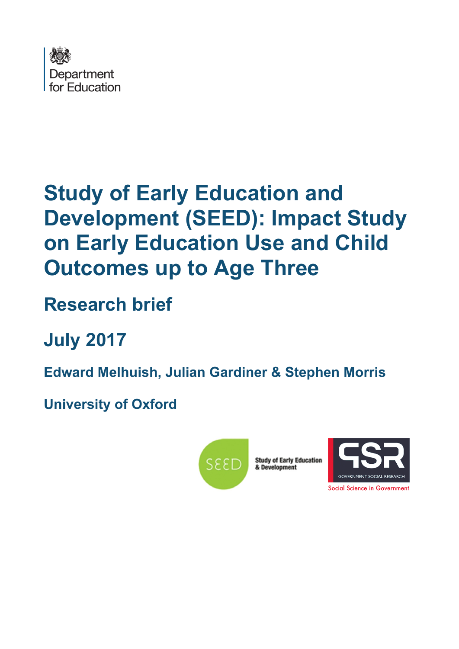

# **Study of Early Education and Development (SEED): Impact Study on Early Education Use and Child Outcomes up to Age Three**

# **Research brief**

**July 2017**

**Edward Melhuish, Julian Gardiner & Stephen Morris**

**University of Oxford**



**Study of Early Education<br>& Development** 



Social Science in Government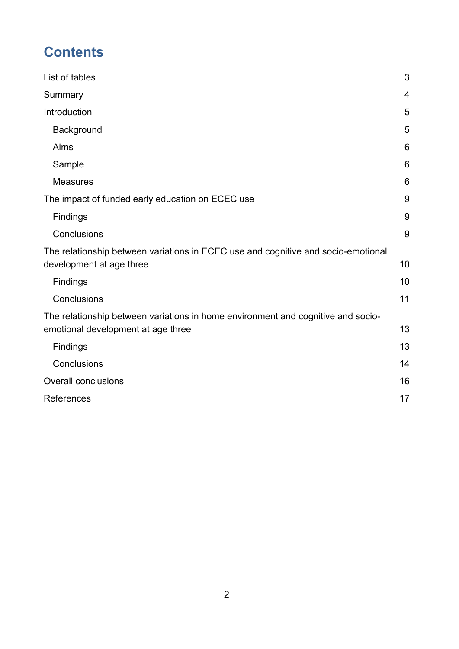# **Contents**

| List of tables                                                                                                         | 3  |
|------------------------------------------------------------------------------------------------------------------------|----|
| Summary                                                                                                                | 4  |
| Introduction                                                                                                           | 5  |
| Background                                                                                                             | 5  |
| Aims                                                                                                                   | 6  |
| Sample                                                                                                                 | 6  |
| <b>Measures</b>                                                                                                        | 6  |
| The impact of funded early education on ECEC use                                                                       | 9  |
| <b>Findings</b>                                                                                                        | 9  |
| Conclusions                                                                                                            | 9  |
| The relationship between variations in ECEC use and cognitive and socio-emotional<br>development at age three          | 10 |
| <b>Findings</b>                                                                                                        | 10 |
| Conclusions                                                                                                            | 11 |
| The relationship between variations in home environment and cognitive and socio-<br>emotional development at age three | 13 |
| Findings                                                                                                               | 13 |
| Conclusions                                                                                                            | 14 |
| <b>Overall conclusions</b>                                                                                             | 16 |
| References                                                                                                             | 17 |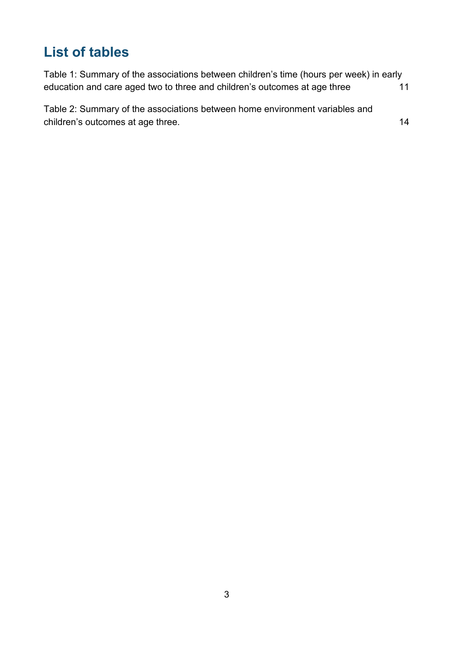# <span id="page-2-0"></span>**List of tables**

| Table 1: Summary of the associations between children's time (hours per week) in early |    |
|----------------------------------------------------------------------------------------|----|
| education and care aged two to three and children's outcomes at age three              | 11 |
| Table 2: Summary of the associations between home environment variables and            |    |
| children's outcomes at age three.                                                      | 14 |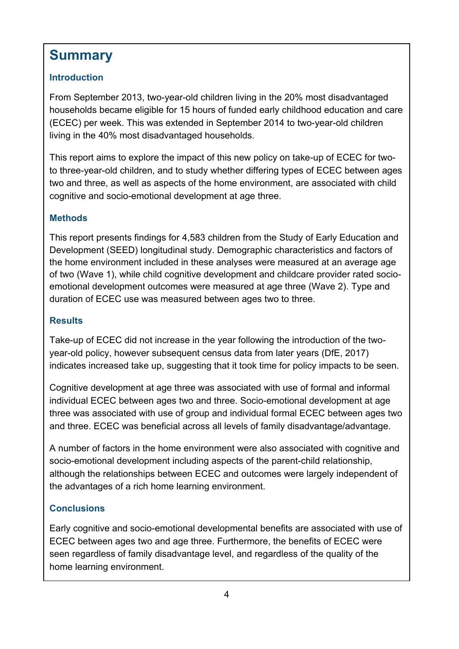# **Summary**

### **Introduction**

From September 2013, two-year-old children living in the 20% most disadvantaged households became eligible for 15 hours of funded early childhood education and care (ECEC) per week. This was extended in September 2014 to two-year-old children living in the 40% most disadvantaged households.

This report aims to explore the impact of this new policy on take-up of ECEC for twoto three-year-old children, and to study whether differing types of ECEC between ages two and three, as well as aspects of the home environment, are associated with child cognitive and socio-emotional development at age three.

#### **Methods**

This report presents findings for 4,583 children from the Study of Early Education and Development (SEED) longitudinal study. Demographic characteristics and factors of the home environment included in these analyses were measured at an average age of two (Wave 1), while child cognitive development and childcare provider rated socioemotional development outcomes were measured at age three (Wave 2). Type and duration of ECEC use was measured between ages two to three.

#### **Results**

Take-up of ECEC did not increase in the year following the introduction of the twoyear-old policy, however subsequent census data from later years (DfE, 2017) indicates increased take up, suggesting that it took time for policy impacts to be seen.

Cognitive development at age three was associated with use of formal and informal individual ECEC between ages two and three. Socio-emotional development at age three was associated with use of group and individual formal ECEC between ages two and three. ECEC was beneficial across all levels of family disadvantage/advantage.

A number of factors in the home environment were also associated with cognitive and socio-emotional development including aspects of the parent-child relationship, although the relationships between ECEC and outcomes were largely independent of the advantages of a rich home learning environment.

### **Conclusions**

Early cognitive and socio-emotional developmental benefits are associated with use of ECEC between ages two and age three. Furthermore, the benefits of ECEC were seen regardless of family disadvantage level, and regardless of the quality of the home learning environment.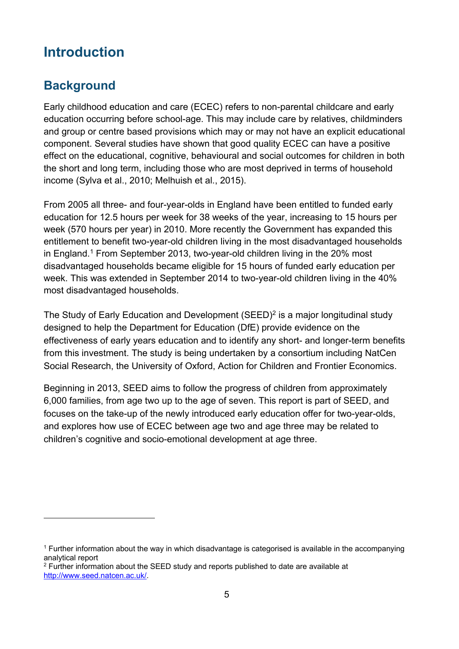# <span id="page-4-0"></span>**Introduction**

### <span id="page-4-1"></span>**Background**

 $\overline{a}$ 

Early childhood education and care (ECEC) refers to non-parental childcare and early education occurring before school-age. This may include care by relatives, childminders and group or centre based provisions which may or may not have an explicit educational component. Several studies have shown that good quality ECEC can have a positive effect on the educational, cognitive, behavioural and social outcomes for children in both the short and long term, including those who are most deprived in terms of household income (Sylva et al., 2010; Melhuish et al., 2015).

From 2005 all three- and four-year-olds in England have been entitled to funded early education for 12.5 hours per week for 38 weeks of the year, increasing to 15 hours per week (570 hours per year) in 2010. More recently the Government has expanded this entitlement to benefit two-year-old children living in the most disadvantaged households in England.<sup>1</sup> From September 2013, two-year-old children living in the 20% most disadvantaged households became eligible for 15 hours of funded early education per week. This was extended in September 2014 to two-year-old children living in the 40% most disadvantaged households.

The Study of Early Education and Development  $(SEED)^2$  is a major longitudinal study designed to help the Department for Education (DfE) provide evidence on the effectiveness of early years education and to identify any short- and longer-term benefits from this investment. The study is being undertaken by a consortium including NatCen Social Research, the University of Oxford, Action for Children and Frontier Economics.

Beginning in 2013, SEED aims to follow the progress of children from approximately 6,000 families, from age two up to the age of seven. This report is part of SEED, and focuses on the take-up of the newly introduced early education offer for two-year-olds, and explores how use of ECEC between age two and age three may be related to children's cognitive and socio-emotional development at age three.

 $1$  Further information about the way in which disadvantage is categorised is available in the accompanying analytical report

 $2$  Further information about the SEED study and reports published to date are available at [http://www.seed.natcen.ac.uk/.](http://www.seed.natcen.ac.uk/)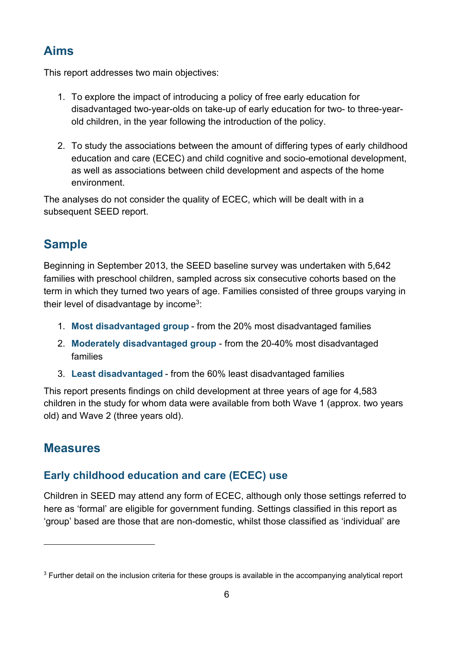### <span id="page-5-0"></span>**Aims**

This report addresses two main objectives:

- 1. To explore the impact of introducing a policy of free early education for disadvantaged two-year-olds on take-up of early education for two- to three-yearold children, in the year following the introduction of the policy.
- 2. To study the associations between the amount of differing types of early childhood education and care (ECEC) and child cognitive and socio-emotional development, as well as associations between child development and aspects of the home environment.

The analyses do not consider the quality of ECEC, which will be dealt with in a subsequent SEED report.

## <span id="page-5-1"></span>**Sample**

Beginning in September 2013, the SEED baseline survey was undertaken with 5,642 families with preschool children, sampled across six consecutive cohorts based on the term in which they turned two years of age. Families consisted of three groups varying in their level of disadvantage by income $3$ :

- 1. **Most disadvantaged group** from the 20% most disadvantaged families
- 2. **Moderately disadvantaged group** from the 20-40% most disadvantaged families
- 3. **Least disadvantaged** from the 60% least disadvantaged families

This report presents findings on child development at three years of age for 4,583 children in the study for whom data were available from both Wave 1 (approx. two years old) and Wave 2 (three years old).

### <span id="page-5-2"></span>**Measures**

 $\overline{a}$ 

### **Early childhood education and care (ECEC) use**

Children in SEED may attend any form of ECEC, although only those settings referred to here as 'formal' are eligible for government funding. Settings classified in this report as 'group' based are those that are non-domestic, whilst those classified as 'individual' are

<sup>&</sup>lt;sup>3</sup> Further detail on the inclusion criteria for these groups is available in the accompanying analytical report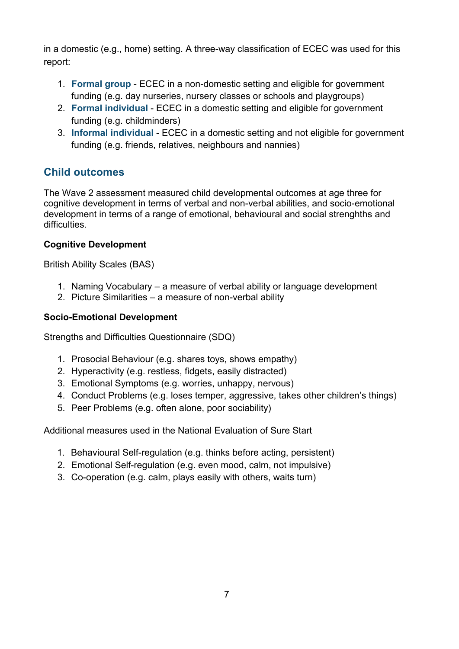in a domestic (e.g., home) setting. A three-way classification of ECEC was used for this report:

- 1. **Formal group** ECEC in a non-domestic setting and eligible for government funding (e.g. day nurseries, nursery classes or schools and playgroups)
- 2. **Formal individual** ECEC in a domestic setting and eligible for government funding (e.g. childminders)
- 3. **Informal individual** ECEC in a domestic setting and not eligible for government funding (e.g. friends, relatives, neighbours and nannies)

### **Child outcomes**

The Wave 2 assessment measured child developmental outcomes at age three for cognitive development in terms of verbal and non-verbal abilities, and socio-emotional development in terms of a range of emotional, behavioural and social strenghths and difficulties.

#### **Cognitive Development**

British Ability Scales (BAS)

- 1. Naming Vocabulary a measure of verbal ability or language development
- 2. Picture Similarities a measure of non-verbal ability

#### **Socio-Emotional Development**

Strengths and Difficulties Questionnaire (SDQ)

- 1. Prosocial Behaviour (e.g. shares toys, shows empathy)
- 2. Hyperactivity (e.g. restless, fidgets, easily distracted)
- 3. Emotional Symptoms (e.g. worries, unhappy, nervous)
- 4. Conduct Problems (e.g. loses temper, aggressive, takes other children's things)
- 5. Peer Problems (e.g. often alone, poor sociability)

Additional measures used in the National Evaluation of Sure Start

- 1. Behavioural Self-regulation (e.g. thinks before acting, persistent)
- 2. Emotional Self-regulation (e.g. even mood, calm, not impulsive)
- 3. Co-operation (e.g. calm, plays easily with others, waits turn)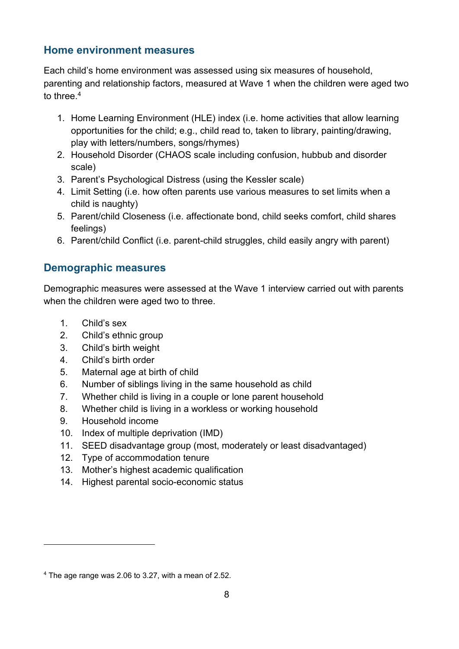### **Home environment measures**

Each child's home environment was assessed using six measures of household, parenting and relationship factors, measured at Wave 1 when the children were aged two to three. 4

- 1. Home Learning Environment (HLE) index (i.e. home activities that allow learning opportunities for the child; e.g., child read to, taken to library, painting/drawing, play with letters/numbers, songs/rhymes)
- 2. Household Disorder (CHAOS scale including confusion, hubbub and disorder scale)
- 3. Parent's Psychological Distress (using the Kessler scale)
- 4. Limit Setting (i.e. how often parents use various measures to set limits when a child is naughty)
- 5. Parent/child Closeness (i.e. affectionate bond, child seeks comfort, child shares feelings)
- 6. Parent/child Conflict (i.e. parent-child struggles, child easily angry with parent)

### **Demographic measures**

Demographic measures were assessed at the Wave 1 interview carried out with parents when the children were aged two to three.

- 1. Child's sex
- 2. Child's ethnic group
- 3. Child's birth weight
- 4. Child's birth order
- 5. Maternal age at birth of child
- 6. Number of siblings living in the same household as child
- 7. Whether child is living in a couple or lone parent household
- 8. Whether child is living in a workless or working household
- 9. Household income

 $\overline{a}$ 

- 10. Index of multiple deprivation (IMD)
- 11. SEED disadvantage group (most, moderately or least disadvantaged)
- 12. Type of accommodation tenure
- 13. Mother's highest academic qualification
- 14. Highest parental socio-economic status

<sup>4</sup> The age range was 2.06 to 3.27, with a mean of 2.52.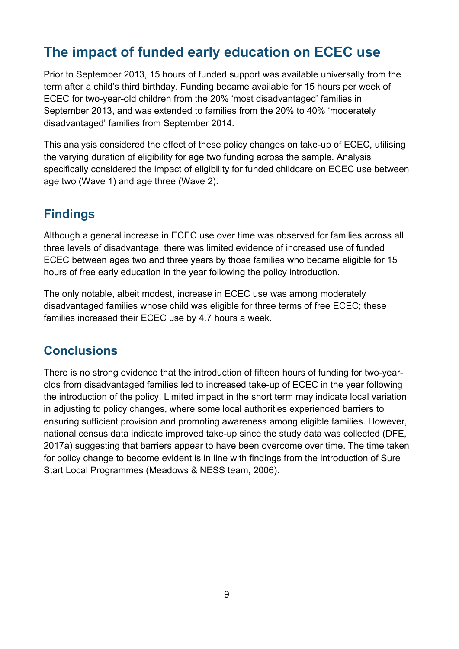# <span id="page-8-0"></span>**The impact of funded early education on ECEC use**

Prior to September 2013, 15 hours of funded support was available universally from the term after a child's third birthday. Funding became available for 15 hours per week of ECEC for two-year-old children from the 20% 'most disadvantaged' families in September 2013, and was extended to families from the 20% to 40% 'moderately disadvantaged' families from September 2014.

This analysis considered the effect of these policy changes on take-up of ECEC, utilising the varying duration of eligibility for age two funding across the sample. Analysis specifically considered the impact of eligibility for funded childcare on ECEC use between age two (Wave 1) and age three (Wave 2).

### <span id="page-8-1"></span>**Findings**

Although a general increase in ECEC use over time was observed for families across all three levels of disadvantage, there was limited evidence of increased use of funded ECEC between ages two and three years by those families who became eligible for 15 hours of free early education in the year following the policy introduction.

The only notable, albeit modest, increase in ECEC use was among moderately disadvantaged families whose child was eligible for three terms of free ECEC; these families increased their ECEC use by 4.7 hours a week.

### <span id="page-8-2"></span>**Conclusions**

There is no strong evidence that the introduction of fifteen hours of funding for two-yearolds from disadvantaged families led to increased take-up of ECEC in the year following the introduction of the policy. Limited impact in the short term may indicate local variation in adjusting to policy changes, where some local authorities experienced barriers to ensuring sufficient provision and promoting awareness among eligible families. However, national census data indicate improved take-up since the study data was collected (DFE, 2017a) suggesting that barriers appear to have been overcome over time. The time taken for policy change to become evident is in line with findings from the introduction of Sure Start Local Programmes (Meadows & NESS team, 2006).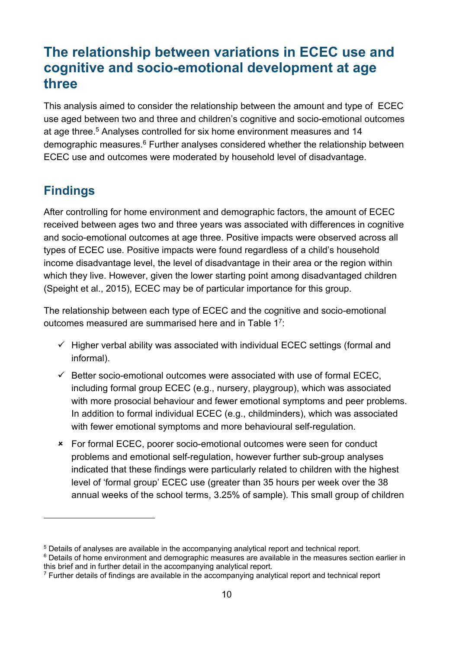## <span id="page-9-0"></span>**The relationship between variations in ECEC use and cognitive and socio-emotional development at age three**

This analysis aimed to consider the relationship between the amount and type of ECEC use aged between two and three and children's cognitive and socio-emotional outcomes at age three.<sup>5</sup> Analyses controlled for six home environment measures and 14 demographic measures.<sup>6</sup> Further analyses considered whether the relationship between ECEC use and outcomes were moderated by household level of disadvantage.

## <span id="page-9-1"></span>**Findings**

 $\overline{a}$ 

After controlling for home environment and demographic factors, the amount of ECEC received between ages two and three years was associated with differences in cognitive and socio-emotional outcomes at age three. Positive impacts were observed across all types of ECEC use. Positive impacts were found regardless of a child's household income disadvantage level, the level of disadvantage in their area or the region within which they live. However, given the lower starting point among disadvantaged children (Speight et al., 2015), ECEC may be of particular importance for this group.

The relationship between each type of ECEC and the cognitive and socio-emotional outcomes measured are summarised here and in [Table 1](#page-10-1)<sup>7</sup>:

- $\checkmark$  Higher verbal ability was associated with individual ECEC settings (formal and informal).
- $\checkmark$  Better socio-emotional outcomes were associated with use of formal ECEC. including formal group ECEC (e.g., nursery, playgroup), which was associated with more prosocial behaviour and fewer emotional symptoms and peer problems. In addition to formal individual ECEC (e.g., childminders), which was associated with fewer emotional symptoms and more behavioural self-regulation.
- For formal ECEC, poorer socio-emotional outcomes were seen for conduct problems and emotional self-regulation, however further sub-group analyses indicated that these findings were particularly related to children with the highest level of 'formal group' ECEC use (greater than 35 hours per week over the 38 annual weeks of the school terms, 3.25% of sample). This small group of children

<sup>5</sup> Details of analyses are available in the accompanying analytical report and technical report.

<sup>6</sup> Details of home environment and demographic measures are available in the measures section earlier in this brief and in further detail in the accompanying analytical report.

 $7$  Further details of findings are available in the accompanying analytical report and technical report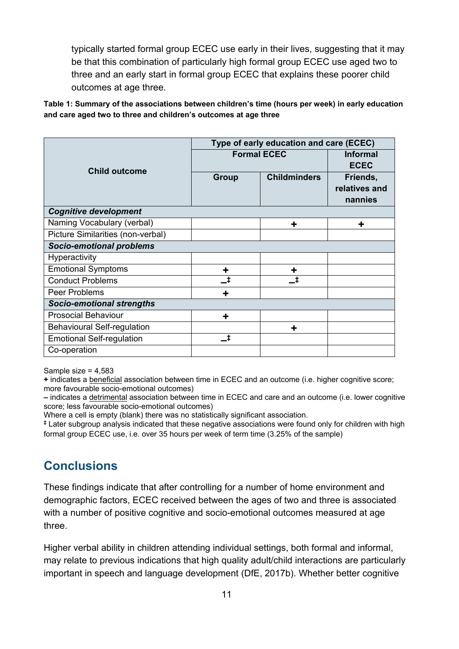typically started formal group ECEC use early in their lives, suggesting that it may be that this combination of particularly high formal group ECEC use aged two to three and an early start in formal group ECEC that explains these poorer child outcomes at age three.

<span id="page-10-1"></span>**Table 1: Summary of the associations between children's time (hours per week) in early education and care aged two to three and children's outcomes at age three**

|                                    | Type of early education and care (ECEC) |                                |               |  |  |
|------------------------------------|-----------------------------------------|--------------------------------|---------------|--|--|
|                                    | <b>Formal ECEC</b>                      | <b>Informal</b><br><b>ECEC</b> |               |  |  |
| <b>Child outcome</b>               |                                         |                                |               |  |  |
|                                    | <b>Group</b>                            | <b>Childminders</b>            | Friends,      |  |  |
|                                    |                                         |                                | relatives and |  |  |
|                                    |                                         |                                | nannies       |  |  |
| <b>Cognitive development</b>       |                                         |                                |               |  |  |
| Naming Vocabulary (verbal)         |                                         | ┿                              | ╋             |  |  |
| Picture Similarities (non-verbal)  |                                         |                                |               |  |  |
| <b>Socio-emotional problems</b>    |                                         |                                |               |  |  |
| Hyperactivity                      |                                         |                                |               |  |  |
| <b>Emotional Symptoms</b>          | ÷                                       | ╈                              |               |  |  |
| <b>Conduct Problems</b>            | Ŧ                                       | t.                             |               |  |  |
| Peer Problems                      |                                         |                                |               |  |  |
| <b>Socio-emotional strengths</b>   |                                         |                                |               |  |  |
| <b>Prosocial Behaviour</b>         | ÷                                       |                                |               |  |  |
| <b>Behavioural Self-regulation</b> |                                         | ╋                              |               |  |  |
| <b>Emotional Self-regulation</b>   | t                                       |                                |               |  |  |
| Co-operation                       |                                         |                                |               |  |  |

Sample size = 4,583

**+** indicates a beneficial association between time in ECEC and an outcome (i.e. higher cognitive score; more favourable socio-emotional outcomes)

**–** indicates a detrimental association between time in ECEC and care and an outcome (i.e. lower cognitive score; less favourable socio-emotional outcomes)

Where a cell is empty (blank) there was no statistically significant association.

**‡** Later subgroup analysis indicated that these negative associations were found only for children with high formal group ECEC use, i.e. over 35 hours per week of term time (3.25% of the sample)

### <span id="page-10-0"></span>**Conclusions**

These findings indicate that after controlling for a number of home environment and demographic factors, ECEC received between the ages of two and three is associated with a number of positive cognitive and socio-emotional outcomes measured at age three.

Higher verbal ability in children attending individual settings, both formal and informal, may relate to previous indications that high quality adult/child interactions are particularly important in speech and language development (DfE, 2017b). Whether better cognitive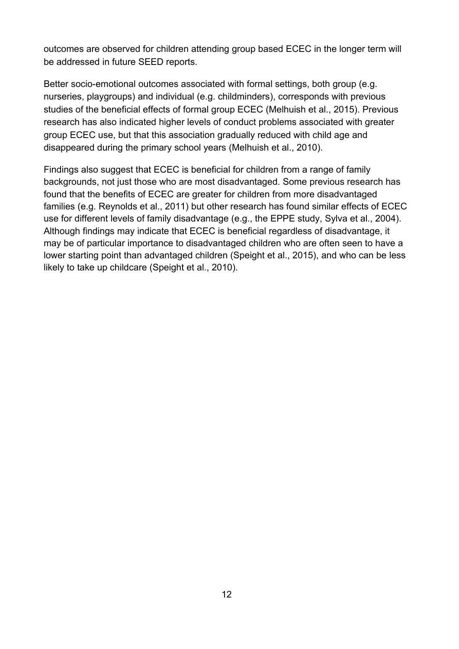outcomes are observed for children attending group based ECEC in the longer term will be addressed in future SEED reports.

Better socio-emotional outcomes associated with formal settings, both group (e.g. nurseries, playgroups) and individual (e.g. childminders), corresponds with previous studies of the beneficial effects of formal group ECEC (Melhuish et al., 2015). Previous research has also indicated higher levels of conduct problems associated with greater group ECEC use, but that this association gradually reduced with child age and disappeared during the primary school years (Melhuish et al., 2010).

Findings also suggest that ECEC is beneficial for children from a range of family backgrounds, not just those who are most disadvantaged. Some previous research has found that the benefits of ECEC are greater for children from more disadvantaged families (e.g. Reynolds et al., 2011) but other research has found similar effects of ECEC use for different levels of family disadvantage (e.g., the EPPE study, Sylva et al., 2004). Although findings may indicate that ECEC is beneficial regardless of disadvantage, it may be of particular importance to disadvantaged children who are often seen to have a lower starting point than advantaged children (Speight et al., 2015), and who can be less likely to take up childcare (Speight et al., 2010).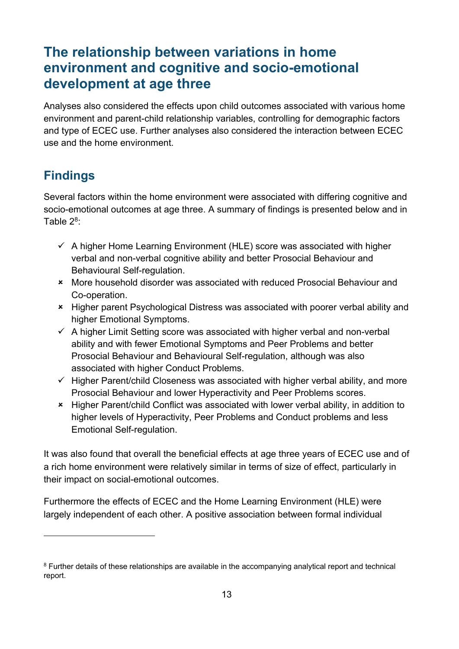# <span id="page-12-0"></span>**The relationship between variations in home environment and cognitive and socio-emotional development at age three**

Analyses also considered the effects upon child outcomes associated with various home environment and parent-child relationship variables, controlling for demographic factors and type of ECEC use. Further analyses also considered the interaction between ECEC use and the home environment.

### <span id="page-12-1"></span>**Findings**

 $\overline{a}$ 

Several factors within the home environment were associated with differing cognitive and socio-emotional outcomes at age three. A summary of findings is presented below and in Table  $2^8$ :

- $\checkmark$  A higher Home Learning Environment (HLE) score was associated with higher verbal and non-verbal cognitive ability and better Prosocial Behaviour and Behavioural Self-regulation.
- More household disorder was associated with reduced Prosocial Behaviour and Co-operation.
- Higher parent Psychological Distress was associated with poorer verbal ability and higher Emotional Symptoms.
- $\checkmark$  A higher Limit Setting score was associated with higher verbal and non-verbal ability and with fewer Emotional Symptoms and Peer Problems and better Prosocial Behaviour and Behavioural Self-regulation, although was also associated with higher Conduct Problems.
- $\checkmark$  Higher Parent/child Closeness was associated with higher verbal ability, and more Prosocial Behaviour and lower Hyperactivity and Peer Problems scores.
- Higher Parent/child Conflict was associated with lower verbal ability, in addition to higher levels of Hyperactivity, Peer Problems and Conduct problems and less Emotional Self-regulation.

It was also found that overall the beneficial effects at age three years of ECEC use and of a rich home environment were relatively similar in terms of size of effect, particularly in their impact on social-emotional outcomes.

Furthermore the effects of ECEC and the Home Learning Environment (HLE) were largely independent of each other. A positive association between formal individual

<sup>&</sup>lt;sup>8</sup> Further details of these relationships are available in the accompanying analytical report and technical report.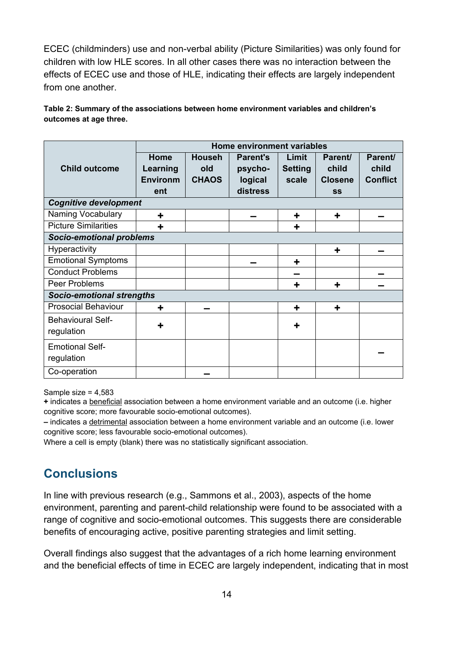ECEC (childminders) use and non-verbal ability (Picture Similarities) was only found for children with low HLE scores. In all other cases there was no interaction between the effects of ECEC use and those of HLE, indicating their effects are largely independent from one another.

<span id="page-13-1"></span>**Table 2: Summary of the associations between home environment variables and children's outcomes at age three.** 

|                                  | Home environment variables |               |                 |                |                |                 |  |  |  |
|----------------------------------|----------------------------|---------------|-----------------|----------------|----------------|-----------------|--|--|--|
|                                  | Home                       | <b>Househ</b> | <b>Parent's</b> | Limit          | Parent/        | Parent/         |  |  |  |
| <b>Child outcome</b>             | Learning                   | old           | psycho-         | <b>Setting</b> | child          | child           |  |  |  |
|                                  | <b>Environm</b>            | <b>CHAOS</b>  | logical         | scale          | <b>Closene</b> | <b>Conflict</b> |  |  |  |
|                                  | ent                        |               | distress        |                | SS             |                 |  |  |  |
| <b>Cognitive development</b>     |                            |               |                 |                |                |                 |  |  |  |
| Naming Vocabulary                | ٠                          |               |                 | ٠              | ٠              |                 |  |  |  |
| <b>Picture Similarities</b>      | ٠                          |               |                 | ٠              |                |                 |  |  |  |
| <b>Socio-emotional problems</b>  |                            |               |                 |                |                |                 |  |  |  |
| Hyperactivity                    |                            |               |                 |                | ٠              |                 |  |  |  |
| <b>Emotional Symptoms</b>        |                            |               |                 | ÷              |                |                 |  |  |  |
| <b>Conduct Problems</b>          |                            |               |                 |                |                |                 |  |  |  |
| Peer Problems                    |                            |               |                 | ٠              | ٠              |                 |  |  |  |
| <b>Socio-emotional strengths</b> |                            |               |                 |                |                |                 |  |  |  |
| <b>Prosocial Behaviour</b>       | ٠                          |               |                 | ٠              | ٠              |                 |  |  |  |
| <b>Behavioural Self-</b>         |                            |               |                 | ٠              |                |                 |  |  |  |
| regulation                       | ╈                          |               |                 |                |                |                 |  |  |  |
| <b>Emotional Self-</b>           |                            |               |                 |                |                |                 |  |  |  |
| regulation                       |                            |               |                 |                |                |                 |  |  |  |
| Co-operation                     |                            |               |                 |                |                |                 |  |  |  |

Sample size = 4,583

**+** indicates a beneficial association between a home environment variable and an outcome (i.e. higher cognitive score; more favourable socio-emotional outcomes).

**–** indicates a detrimental association between a home environment variable and an outcome (i.e. lower cognitive score; less favourable socio-emotional outcomes).

<span id="page-13-0"></span>Where a cell is empty (blank) there was no statistically significant association.

### **Conclusions**

In line with previous research (e.g., Sammons et al., 2003), aspects of the home environment, parenting and parent-child relationship were found to be associated with a range of cognitive and socio-emotional outcomes. This suggests there are considerable benefits of encouraging active, positive parenting strategies and limit setting.

Overall findings also suggest that the advantages of a rich home learning environment and the beneficial effects of time in ECEC are largely independent, indicating that in most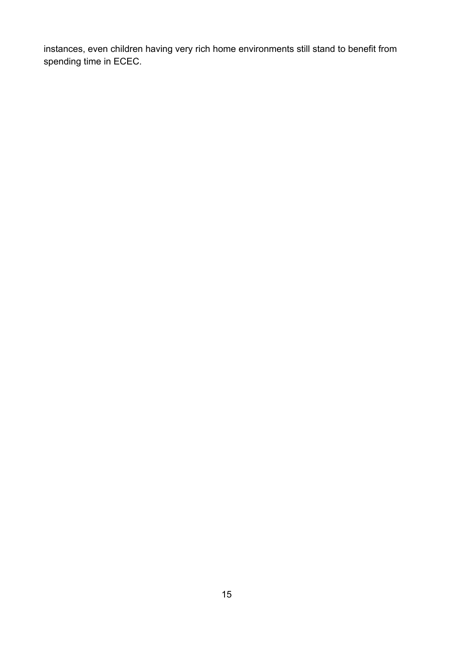instances, even children having very rich home environments still stand to benefit from spending time in ECEC.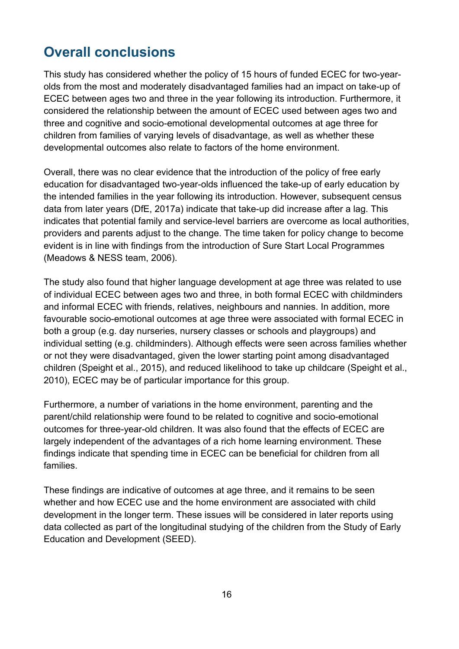# <span id="page-15-0"></span>**Overall conclusions**

This study has considered whether the policy of 15 hours of funded ECEC for two-yearolds from the most and moderately disadvantaged families had an impact on take-up of ECEC between ages two and three in the year following its introduction. Furthermore, it considered the relationship between the amount of ECEC used between ages two and three and cognitive and socio-emotional developmental outcomes at age three for children from families of varying levels of disadvantage, as well as whether these developmental outcomes also relate to factors of the home environment.

Overall, there was no clear evidence that the introduction of the policy of free early education for disadvantaged two-year-olds influenced the take-up of early education by the intended families in the year following its introduction. However, subsequent census data from later years (DfE, 2017a) indicate that take-up did increase after a lag. This indicates that potential family and service-level barriers are overcome as local authorities, providers and parents adjust to the change. The time taken for policy change to become evident is in line with findings from the introduction of Sure Start Local Programmes (Meadows & NESS team, 2006).

The study also found that higher language development at age three was related to use of individual ECEC between ages two and three, in both formal ECEC with childminders and informal ECEC with friends, relatives, neighbours and nannies. In addition, more favourable socio-emotional outcomes at age three were associated with formal ECEC in both a group (e.g. day nurseries, nursery classes or schools and playgroups) and individual setting (e.g. childminders). Although effects were seen across families whether or not they were disadvantaged, given the lower starting point among disadvantaged children (Speight et al., 2015), and reduced likelihood to take up childcare (Speight et al., 2010), ECEC may be of particular importance for this group.

Furthermore, a number of variations in the home environment, parenting and the parent/child relationship were found to be related to cognitive and socio-emotional outcomes for three-year-old children. It was also found that the effects of ECEC are largely independent of the advantages of a rich home learning environment. These findings indicate that spending time in ECEC can be beneficial for children from all families.

These findings are indicative of outcomes at age three, and it remains to be seen whether and how ECEC use and the home environment are associated with child development in the longer term. These issues will be considered in later reports using data collected as part of the longitudinal studying of the children from the Study of Early Education and Development (SEED).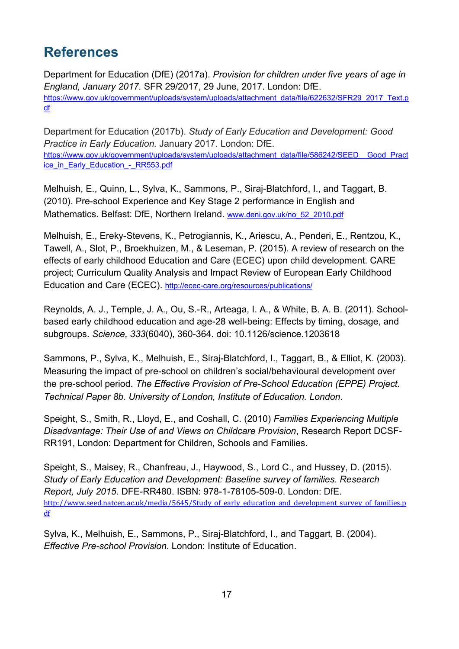# <span id="page-16-0"></span>**References**

Department for Education (DfE) (2017a). *Provision for children under five years of age in England, January 2017.* SFR 29/2017, 29 June, 2017. London: DfE. [https://www.gov.uk/government/uploads/system/uploads/attachment\\_data/file/622632/SFR29\\_2017\\_Text.p](https://www.gov.uk/government/uploads/system/uploads/attachment_data/file/622632/SFR29_2017_Text.pdf) [df](https://www.gov.uk/government/uploads/system/uploads/attachment_data/file/622632/SFR29_2017_Text.pdf)

Department for Education (2017b). *Study of Early Education and Development: Good Practice in Early Education.* January 2017. London: DfE. [https://www.gov.uk/government/uploads/system/uploads/attachment\\_data/file/586242/SEED\\_\\_Good\\_Pract](https://www.gov.uk/government/uploads/system/uploads/attachment_data/file/586242/SEED__Good_Practice_in_Early_Education_-_RR553.pdf) [ice\\_in\\_Early\\_Education\\_-\\_RR553.pdf](https://www.gov.uk/government/uploads/system/uploads/attachment_data/file/586242/SEED__Good_Practice_in_Early_Education_-_RR553.pdf)

Melhuish, E., Quinn, L., Sylva, K., Sammons, P., Siraj-Blatchford, I., and Taggart, B. (2010). Pre-school Experience and Key Stage 2 performance in English and Mathematics. Belfast: DfE, Northern Ireland. [www.deni.gov.uk/no\\_52\\_2010.pdf](http://www.deni.gov.uk/no_52_2010.pdf)

Melhuish, E., Ereky-Stevens, K., Petrogiannis, K., Ariescu, A., Penderi, E., Rentzou, K., Tawell, A., Slot, P., Broekhuizen, M., & Leseman, P. (2015). A review of research on the effects of early childhood Education and Care (ECEC) upon child development. CARE project; Curriculum Quality Analysis and Impact Review of European Early Childhood Education and Care (ECEC). <http://ecec-care.org/resources/publications/>

Reynolds, A. J., Temple, J. A., Ou, S.-R., Arteaga, I. A., & White, B. A. B. (2011). Schoolbased early childhood education and age-28 well-being: Effects by timing, dosage, and subgroups. *Science, 333*(6040), 360-364. doi: 10.1126/science.1203618

Sammons, P., Sylva, K., Melhuish, E., Siraj-Blatchford, I., Taggart, B., & Elliot, K. (2003). Measuring the impact of pre-school on children's social/behavioural development over the pre-school period. *The Effective Provision of Pre-School Education (EPPE) Project. Technical Paper 8b. University of London, Institute of Education. London*.

Speight, S., Smith, R., Lloyd, E., and Coshall, C. (2010) *Families Experiencing Multiple Disadvantage: Their Use of and Views on Childcare Provision*, Research Report DCSF-RR191, London: Department for Children, Schools and Families.

Speight, S., Maisey, R., Chanfreau, J., Haywood, S., Lord C., and Hussey, D. (2015). *Study of Early Education and Development: Baseline survey of families. Research Report, July 2015*. DFE-RR480. ISBN: 978-1-78105-509-0. London: DfE. [http://www.seed.natcen.ac.uk/media/5645/Study\\_of\\_early\\_education\\_and\\_development\\_survey\\_of\\_families.p](http://www.seed.natcen.ac.uk/media/5645/Study_of_early_education_and_development_survey_of_families.pdf) [df](http://www.seed.natcen.ac.uk/media/5645/Study_of_early_education_and_development_survey_of_families.pdf)

Sylva, K., Melhuish, E., Sammons, P., Siraj-Blatchford, I., and Taggart, B. (2004). *Effective Pre-school Provision*. London: Institute of Education.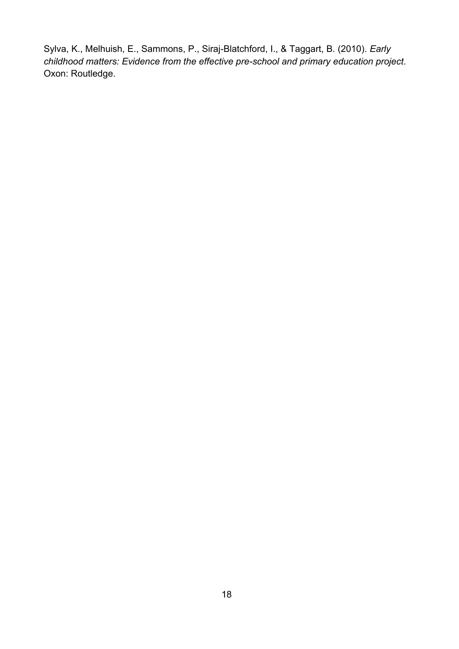Sylva, K., Melhuish, E., Sammons, P., Siraj-Blatchford, I., & Taggart, B. (2010). *Early childhood matters: Evidence from the effective pre-school and primary education project*. Oxon: Routledge.